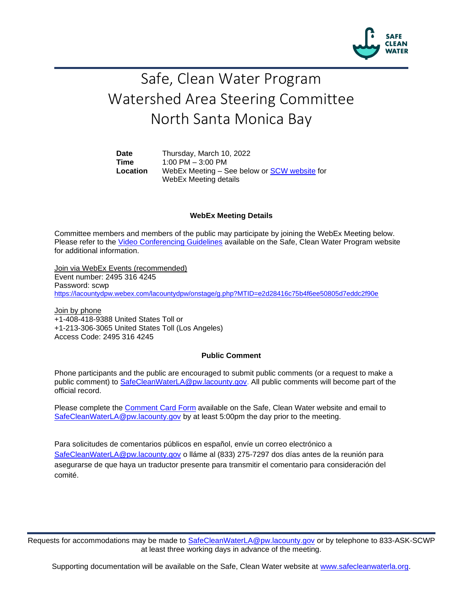

# Safe, Clean Water Program Watershed Area Steering Committee North Santa Monica Bay

**Date** Thursday, March 10, 2022 **Time** 1:00 PM – 3:00 PM **Location** WebEx Meeting – See below or [SCW website](https://safecleanwaterla.org/north-santa-monica-bay-watershed-area/) for WebEx Meeting details

### **WebEx Meeting Details**

Committee members and members of the public may participate by joining the WebEx Meeting below. Please refer to the [Video Conferencing Guidelines](https://safecleanwaterla.org/video-conference-guidelines/) available on the Safe, Clean Water Program website for additional information.

Join via WebEx Events (recommended) Event number: 2495 316 4245 Password: scwp <https://lacountydpw.webex.com/lacountydpw/onstage/g.php?MTID=e2d28416c75b4f6ee50805d7eddc2f90e>

Join by phone +1-408-418-9388 United States Toll or +1-213-306-3065 United States Toll (Los Angeles) Access Code: 2495 316 4245

### **Public Comment**

Phone participants and the public are encouraged to submit public comments (or a request to make a public comment) to [SafeCleanWaterLA@pw.lacounty.gov.](mailto:SafeCleanWaterLA@pw.lacounty.gov) All public comments will become part of the official record.

Please complete the Comment [Card Form](https://safecleanwaterla.org/wp-content/uploads/2020/04/Comment-Card-Form.pdf) available on the Safe, Clean Water website and email to [SafeCleanWaterLA@pw.lacounty.gov](mailto:SafeCleanWaterLA@pw.lacounty.gov) by at least 5:00pm the day prior to the meeting.

Para solicitudes de comentarios públicos en español, envíe un correo electrónico a [SafeCleanWaterLA@pw.lacounty.gov](mailto:SafeCleanWaterLA@pw.lacounty.gov) o lláme al (833) 275-7297 dos días antes de la reunión para asegurarse de que haya un traductor presente para transmitir el comentario para consideración del comité.

Requests for accommodations may be made to [SafeCleanWaterLA@pw.lacounty.gov](mailto:SafeCleanWaterLA@pw.lacounty.gov) or by telephone to 833-ASK-SCWP at least three working days in advance of the meeting.

Supporting documentation will be available on the Safe, Clean Water website at [www.safecleanwaterla.org.](http://www.safecleanwaterla.org/)